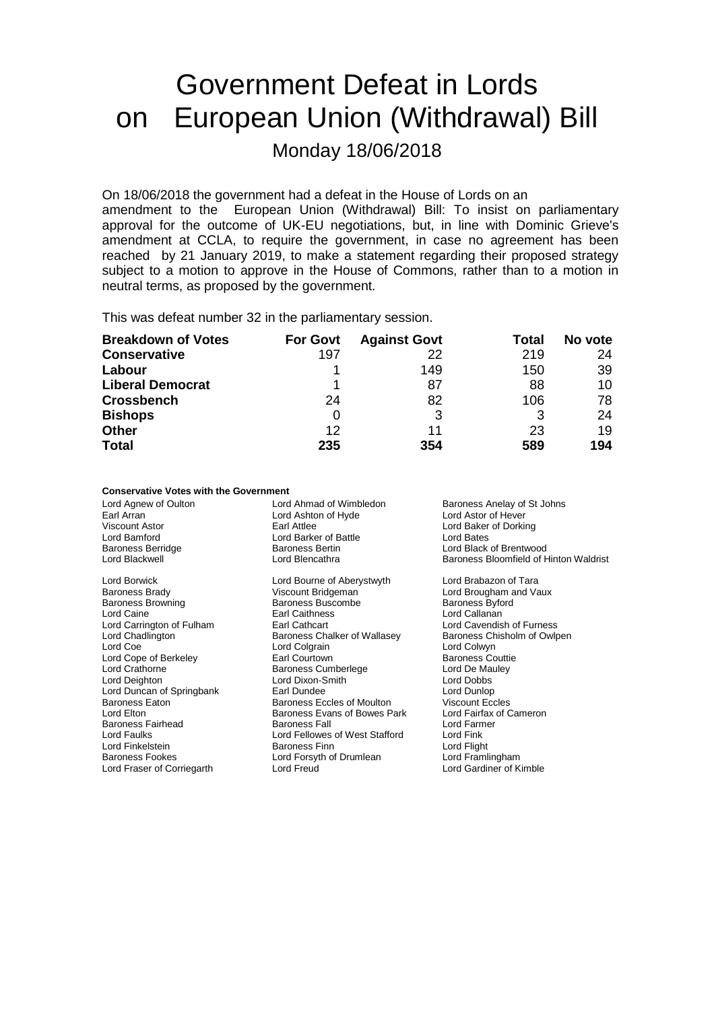# Government Defeat in Lords on European Union (Withdrawal) Bill Monday 18/06/2018

On 18/06/2018 the government had a defeat in the House of Lords on an amendment to the European Union (Withdrawal) Bill: To insist on parliamentary approval for the outcome of UK-EU negotiations, but, in line with Dominic Grieve's amendment at CCLA, to require the government, in case no agreement has been reached by 21 January 2019, to make a statement regarding their proposed strategy subject to a motion to approve in the House of Commons, rather than to a motion in neutral terms, as proposed by the government.

This was defeat number 32 in the parliamentary session.

| <b>Breakdown of Votes</b> | <b>For Govt</b> | <b>Against Govt</b> | Total | No vote |
|---------------------------|-----------------|---------------------|-------|---------|
| <b>Conservative</b>       | 197             | 22                  | 219   | 24      |
| Labour                    |                 | 149                 | 150   | 39      |
| <b>Liberal Democrat</b>   |                 | 87                  | 88    | 10      |
| <b>Crossbench</b>         | 24              | 82                  | 106   | 78      |
| <b>Bishops</b>            | O               |                     | 3     | 24      |
| <b>Other</b>              | 12              | 11                  | 23    | 19      |
| <b>Total</b>              | 235             | 354                 | 589   | 194     |

#### **Conservative Votes with the Government**

| Lord Agnew of Oulton<br>Earl Arran<br>Viscount Astor<br>Lord Bamford | Lord Ahmad of Wimbledon<br>Lord Ashton of Hyde<br>Earl Attlee<br>Lord Barker of Battle | Baroness Anelay of St Johns<br>Lord Astor of Hever<br>Lord Baker of Dorking<br>Lord Bates |
|----------------------------------------------------------------------|----------------------------------------------------------------------------------------|-------------------------------------------------------------------------------------------|
| <b>Baroness Berridge</b>                                             | <b>Baroness Bertin</b>                                                                 | Lord Black of Brentwood                                                                   |
| Lord Blackwell                                                       | Lord Blencathra                                                                        | Baroness Bloomfield of Hinton Waldrist                                                    |
| Lord Borwick                                                         | Lord Bourne of Aberystwyth                                                             | Lord Brabazon of Tara                                                                     |
| Baroness Brady                                                       | Viscount Bridgeman                                                                     | Lord Brougham and Vaux                                                                    |
| <b>Baroness Browning</b>                                             | <b>Baroness Buscombe</b>                                                               | <b>Baroness Byford</b>                                                                    |
| Lord Caine                                                           | <b>Earl Caithness</b>                                                                  | Lord Callanan                                                                             |
| Lord Carrington of Fulham                                            | Earl Cathcart                                                                          | Lord Cavendish of Furness                                                                 |
| Lord Chadlington                                                     | Baroness Chalker of Wallasey                                                           | Baroness Chisholm of Owlpen                                                               |
| Lord Coe                                                             | Lord Colgrain                                                                          | Lord Colwyn                                                                               |
| Lord Cope of Berkeley                                                | Earl Courtown                                                                          | <b>Baroness Couttie</b>                                                                   |
| Lord Crathorne                                                       | <b>Baroness Cumberlege</b>                                                             | Lord De Mauley                                                                            |
| Lord Deighton                                                        | Lord Dixon-Smith                                                                       | Lord Dobbs                                                                                |
| Lord Duncan of Springbank                                            | Earl Dundee                                                                            | Lord Dunlop                                                                               |
| Baroness Eaton                                                       | Baroness Eccles of Moulton                                                             | <b>Viscount Eccles</b>                                                                    |
| Lord Elton                                                           | Baroness Evans of Bowes Park                                                           | Lord Fairfax of Cameron                                                                   |
| Baroness Fairhead                                                    | <b>Baroness Fall</b>                                                                   | Lord Farmer                                                                               |
| Lord Faulks                                                          | Lord Fellowes of West Stafford                                                         | Lord Fink                                                                                 |
| Lord Finkelstein                                                     | <b>Baroness Finn</b>                                                                   | Lord Flight                                                                               |
| <b>Baroness Fookes</b>                                               | Lord Forsyth of Drumlean                                                               | Lord Framlingham                                                                          |
| Lord Fraser of Corriegarth                                           | Lord Freud                                                                             | Lord Gardiner of Kimble                                                                   |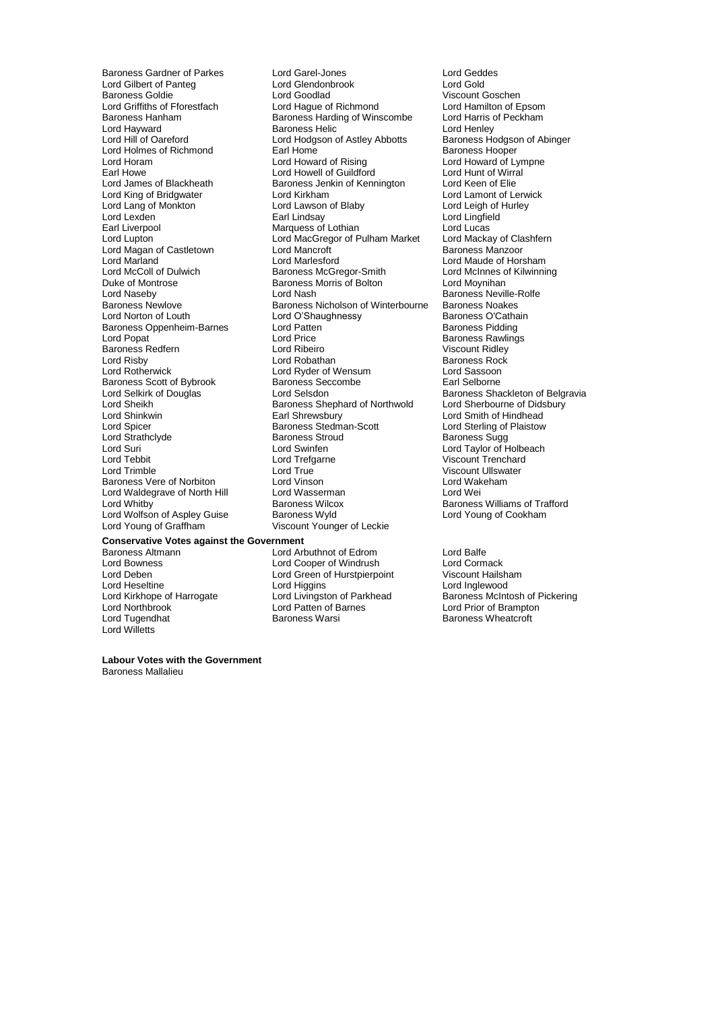Lord Gilbert of Panteg Lord Glendon<br>
Baroness Goldie Lord Goodlad Lord Hayward<br>
Lord Hill of Oareford<br>
Lord Hodgson of Astley Abbotts Lord Holmes of Richmond<br>
Lord Horam **Earl Home**<br>
Lord Howard of Rising Lord Lang of Monkton Lord Lawson<br>Lord Lexden **Lord Leigh Constant Leigh Constant** Lord Magan of Castletown Lord Mancroft<br>
Lord Marland Castletown Lord Marlesford Duke of Montrose Baroness Morris of Bolton<br>
Lord Naseby<br>
Lord Nash Baroness Oppenheim-Barnes Lord Patte<br>
Lord Popat Lord Price Baroness Redfern **Lord Ribeiro**<br>
Lord Risby **Lord Robathan** Baroness Scott of Bybrook Baroness Sec<br>
Lord Selkirk of Douglas
Baroness Sec Lord Strathclyde Baroness Stroud Baroness Stroud Baroness Stroud Baroness Stroud Baroness Stroud Baroness Stro Lord Waldegrave of North Hill Lord Wasserman<br>Lord Whitby Corporation Baroness Wilcox Lord Wolfson of Aspley Guise<br>Lord Young of Graffham

Baroness Gardner of Parkes Lord Garel-Jones Lord Geddes Baroness Goldie **Communist Constant Constant Constant Constant Constant Constant Constant Constant Constant Const**<br>
Lord Criffiths of Fforestfach **Constant Constant Constant Constant Constant Constant Constant Constant Con** Lord Griffiths of Fforestfach Lord Hague of Richmond Lord Hamilton of Epsom<br>Baroness Harding of Winscombe Lord Harris of Peckham Baroness Hanham Baroness Harding of Winscombe Lord Harris c<br>Lord Hayward Baroness Helic Lord Henley Lord Hodgson of Astley Abbotts<br>
Earl Home Baroness Hodgson of Abinger<br>
Baroness Hooper Lord Horam **Lord Howard of Rising Lord Howard of Lympne**<br>
Lord Howard Cord Howell of Guildford Lord Howe Lord Hunt of Wirral Earl Howe **Lord Howell of Guildford** Lord Hunt of Wirral<br>
Lord James of Blackheath **Baroness Jenkin of Kennington** Lord Keen of Elie Lord Keen of Blackheath Baroness Jenkin of Kennington<br>
Lord Kirkham Lord Lamont of Lerwick Lord King of Bridgwater **Lord Kirkham Lord Lamont of Lerwick** Lord Lamont of Lerw<br>
Lord Lang of Monkton Lord Lawson of Blaby Lord Leigh of Hurley Lord Lexden Earl Lindsay Lord Lingfield Earl Liverpool **Earl Liverpool** Marquess of Lothian Lord Lucas<br>
Lord Lupton Lord MacGregor of Pulham Market Lord Mackay of Clashfern Lord MacGregor of Pulham Market Lord Mackay of Cla<br>Lord Mancroft **Clashfer** Baroness Manzoor Lord Marland Lord Marlesford Lord Maude of Horsham Lord McColl of Dulwich Baroness McGregor-Smith Lord McInnes c<br>
Duke of Montrose Collection Baroness Morris of Bolton Lord Moynihan Lord Naseby Lord Nash Baroness Neville-Rolfe<br>
Baroness Newlove Baroness Nicholson of Winterbourne Baroness Noakes Baroness Nicholson of Winterbourne Baroness Noakes<br>Lord O'Shaughnessy Baroness O'Cathain Lord Norton of Louth Lord O'Shaughnessy Baroness O'Catha<br>
Baroness Oppenheim-Barnes Lord Patten Corporation Baroness Pidding Lord Price **Company Company** Baroness Rawlings<br>
Lord Ribeiro **Company Account Richard Price Company** Viscount Ridley Lord Risby **Communist Communist Lord Robathan**<br>
Lord Rotherwick **Communist Communist Lord Ryder of Wensum**<br>
Lord Rotherwick **Communist Communist Communist Communist Communist Communist Communist Communist Communist Comm** Lord Ryder of Wensum Lord Sassoon<br>Baroness Seccombe Larl Selborne Lord Selkirk of Douglas Lord Selsdon<br>
Lord Shephard of Northwold Lord Sherbourne of Didsbury<br>
Lord Sherbourne of Didsbury Lord Sheikh Baroness Shephard of Northwold<br>
Lord Shinkwin **Baroness Shephard of Northwold** Lord Shinkwin **Earl Shrewsbury Lord Smith of Hindhead**<br>
Lord Spicer **Consumers Steam Scott** Lord Sterling of Plaistow Baroness Stedman-Scott Lord Sterling of Plaistow<br>
Baroness Stroud
Baroness Sugg Lord Suri Lord Swinfen Lord Taylor of Holbeach Lord Tebbit Lord Tefgarne Communication Correspondent Lord Trenchard<br>
Lord Trenchard Lord True Communication Communication Correspondent Viscount Ullswater Lord True **Communist Communist Communist Communist Communist Communist Communist Communist Communist Communist Communist Communist Communist Communist Communist Communist Communist Communist Communist Communist Communist C** Baroness Vere of Norbiton **Leart Lord Vinson** Lord Wakeham Lord Wakeham Lord Wakehamam Lord Wei<br>
Lord Waldegrave of North Hill Lord Wasserman Lord Wei Baroness Wilcox **Baroness Williams of Trafford**<br> **Baroness Wyld** Lord Young of Cookham Viscount Younger of Leckie

### **Conservative Votes against the Government**

Lord Bowness Lord Cooper of Windrush Lord Cormack Lord Deben<br>
Lord Deben **Lord Called Lord Green of Hurstpierpoint**<br>
Lord Heseltine Lord Higgins Lord Heseltine Lord Higgins Lord Higgins Lord Lord Inglewood<br>
Lord Kirkhope of Harrogate Lord Livingston of Parkhead Baroness McInt Lord Tugendhat **Baroness Warsi** Baroness Warsi Baroness Wheatcroft Lord Willetts

Baroness Altmann Lord Arbuthnot of Edrom Lord Balfe

Lord Kirkhope of Harrogate Lord Livingston of Parkhead Baroness McIntosh of Pickering<br>
Lord Northbrook Lord Patten of Barnes Lord Prior of Brampton Lord Prior of Brampton

**Labour Votes with the Government** Baroness Mallalieu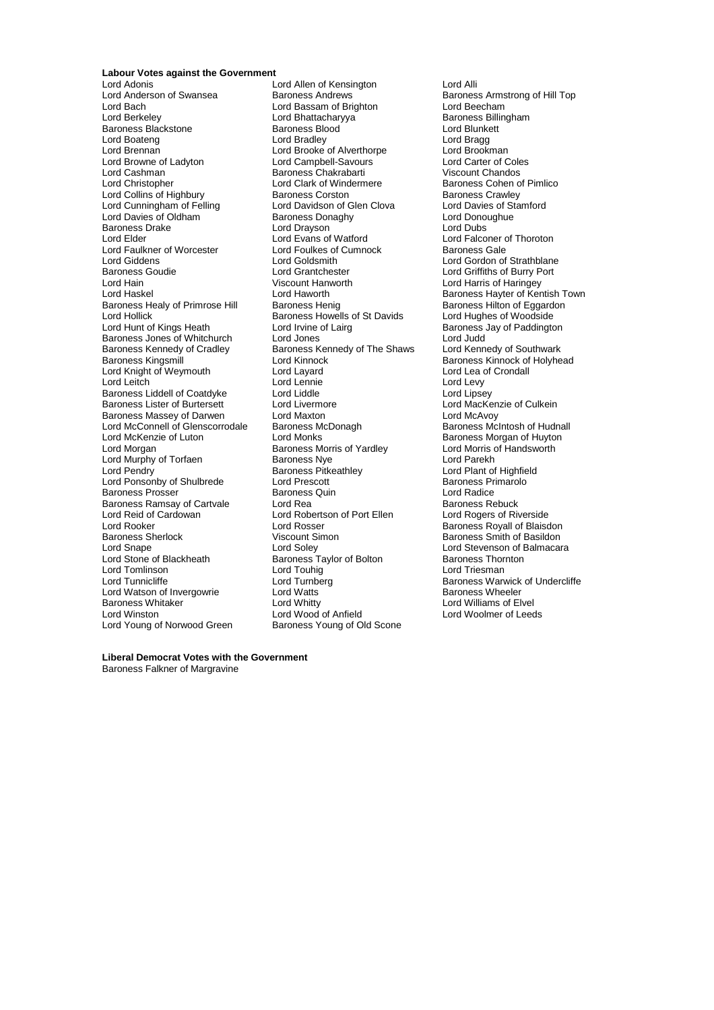### **Labour Votes against the Government**

Lord Anderson of Swansea Baroness Andrews **Baroness Andrews** Baroness Armstrong of Hill Top<br>
Lord Basam of Brighton Lord Beecham Lord Bach Lord Bassam of Brighton Lord Beecham Baroness Blackstone **Baroness Blood** Bunketters Blood Lord Blunketters and Blunketters and Branch Lord Branch Lord Branch Lord Branch Lord Branch Lord Branch Lord Branch Lord Branch Lord Branch Lord Branch Lord Branch Lord Lord Boateng **Lord Brandley** Lord Brandley **Lord Brandley** Lord Bragg<br>
Lord Brennan **Lord Brooke** of Alverthorpe Lord Brookman Lord Brennan **Lord Brooke of Alverthorpe** Lord Brookman<br>
Lord Browne of Ladyton Lord Campbell-Savours Lord Carter of Coles Lord Browne of Ladyton Lord Campbell-Savours Lord Carter of Cole<br>
Lord Cashman Lord Campbell-Savours Lord Cole<br>
Lord Cashman Baroness Chakrabarti Chandos Lord Cashman Baroness Chakrabarti Chandos Chakrabarti Lord Charles Chakrabarti Lord Chandos Chandos Chandos Chandos Chandos Chandos Chandos Chandos Chandos Chandos Chandos Chandos Chandos Chandos Chandos Chandos Chandos Ch Lord Collins of Highbury **Baroness Corston**<br>
Lord Cunningham of Felling **Baroness Corston Clen Clova** Baroness Crawley Lord Davies of Oldham and Baroness Donaghy Lord Donoughuess Donaghy<br>Baroness Drake Cord Dubs Lord Dubs Lord Dubs Baroness Drake Lord Drayson<br>
Lord Elder Lord Evans of Watford Lord Faulkner of Worcester Lord Foulkes of<br>Lord Giddens Gales Baroness Baroness Baroness Baroness Baroness Baroness Gales Lord Giddens Lord Goldsmith Lord Gordon of Strathblane Baroness Goudie **Lord Grantchester Lord Grantchester** Lord Griffiths of Burry Port<br>
Lord Hain **Cord Hartic Cord Grantchester** Lord Hartis of Haringey Lord Hain Viscount Hanworth Lord Harris of Haringey Baroness Healy of Primrose Hill Baroness Henig Baroness Henidenses Henry Baroness Hilton of Eggard<br>Lord Hughes of Woodside Lord Hollick **Baroness Howells of St Davids**<br>
Lord Hunt of Kings Heath **Barones Lord Irvine of Lairg** Baroness Jones of Whitchurch Lord Jones<br>
Baroness Kennedy of Cradley Baroness Kennedy of The Shaws Lord Kennedy of Southwark Baroness Kennedy of Cradley Baroness Kennedy of The Shaws<br>Baroness Kingsmill Baroness Kennedy of The Shaws Lord Knight of Weymouth Lord Layard Lord Lea of Lord Lea of Lord Lea of Lord Lea of Lord Lea of Lea of Lea of Cronall Lord Lea of Lea of Lea of Lea of Lea of Lea of Lea of Lea of Lea of Lea of Lea of Lea of Lea of Lea of L Lord Leitch Lord Lennie Lord Levy Baroness Liddell of Coatdyke Lord Liddle Lord Liddle Corpus Lord Lipsey<br>
Lord MacKenzie of Burtersett Lord Livermore Corpus Lord MacKenzie of Culkein Baroness Lister of Burtersett Lord Livermore Communication Cord MacKenzie of Culter<br>Baroness Massey of Darwen Lord Maxton Cord MacKenzie of McAvoy Baroness Massey of Darwen Lord Maxton Lord Maxton Lord McAvoy<br>
Lord McConnell of Glenscorrodale Baroness McDonagh Baroness McIntosh of Hudnall Lord McConnell of Glenscorrodale Baroness M<br>
Lord McKenzie of Luton Lord Monks Lord McKenzie of Luton Lord Monks<br>
Lord Morgan of Huyton Baroness Morris of Yardley Cord Morris of Handsworth Lord Murphy of Torfaen Baroness Nye Lord Pendry<br>
Baroness Pitkeathley Lord Ponsonby of Shulbrede Lord Prescott<br>
Baroness Prosser Baroness Quin<br>
Baroness Prosser Baroness Quin Baroness Prosser Baroness Quin Lord Radice Baroness Ramsay of Cartvale Lord Rea Lord Rea Baroness Rebuck<br>
Lord Reid of Cardowan Lord Robertson of Port Ellen Lord Rogers of Riverside Lord Reid of Cardowan Lord Robertson of Port Ellen<br>
Lord Rooker Lord Rosser Lord Rooker **Lord Rosser** Communications Communications Corresponds a Lord Rosser Corresponds Baroness Royall of Blaisdon<br>
Baroness Sherlock **Communication** Viscount Simon<br>
Baroness Smith of Basildon Baroness Sherlock **Viscount Simon** Baroness Smith of Basildon<br>
Lord Snape **Baroness** Lord Soley **Baroness** Lord Stevenson of Balmacara Lord Snape Lord Soley Lord Stevenson of Balmacara Lord Stone of Blackheath **Baroness Taylor of Bolton** Baroness Thornton Lord Tomlinson Lord Touhig Lord Tomlinson Lord Touhig Lord Tomlinson Lord Triesman Lord Turnberg Lord Turnberg Raroness Warv Lord Watson of Invergowrie **Lord Watts**<br>
Baroness Whitaker
Baroness Whitaker **Baroness** Baroness Whitaker The Lord Whitty Lord Whitty Cord Williams of Elvel<br>
Lord Winston The Lord Wood of Anfield<br>
Lord Winston The Lord Wood of Anfield<br>
Lord Winston Lord Wood of Anfield Lord Young of Norwood Green

Lord Adonis Lord Allen of Kensington Lord Alli Lord Bhattacharyya **Baroness Billingham Baroness Billingham**<br>Baroness Blood **Blunkett** Lord Clark of Windermere **Lord Clark of Pimlico**<br>Baroness Corston **Baroness Crawley** Lord Davidson of Glen Clova Lord Davies of Star<br>
Baroness Donaghy Baron Lord Donoughue Lord Evans of Watford **Lord Election Lord Falconer of Thoroton**<br>
Lord Foulkes of Cumnock **Baroness** Gale Lord Irvine of Lairg<br>
Lord Jones<br>
Lord Judd Lord Kinnock **Exercise School Communist Constructs Constructs**<br>
Lord Layard Lord Lea of Crondall Exaroness Morris of Yardley Lord Morris c<br>
Baroness Nye Lord Parekh Baroness Pitkeathley **Lord Plant of Highfield**<br>
Lord Prescott **Baroness Primarolo** Lord Wood of Anfield<br>
Baroness Young of Old Scone<br>
Cone

Lord Haworth **Baroness Hayter of Kentish Town**<br>
Baroness Henig **Baroness Hilton of Eggardon** Lord Turnberg **Example 2** Baroness Warwick of Undercliffe<br>
Lord Watts<br>
Baroness Wheeler

**Liberal Democrat Votes with the Government** Baroness Falkner of Margravine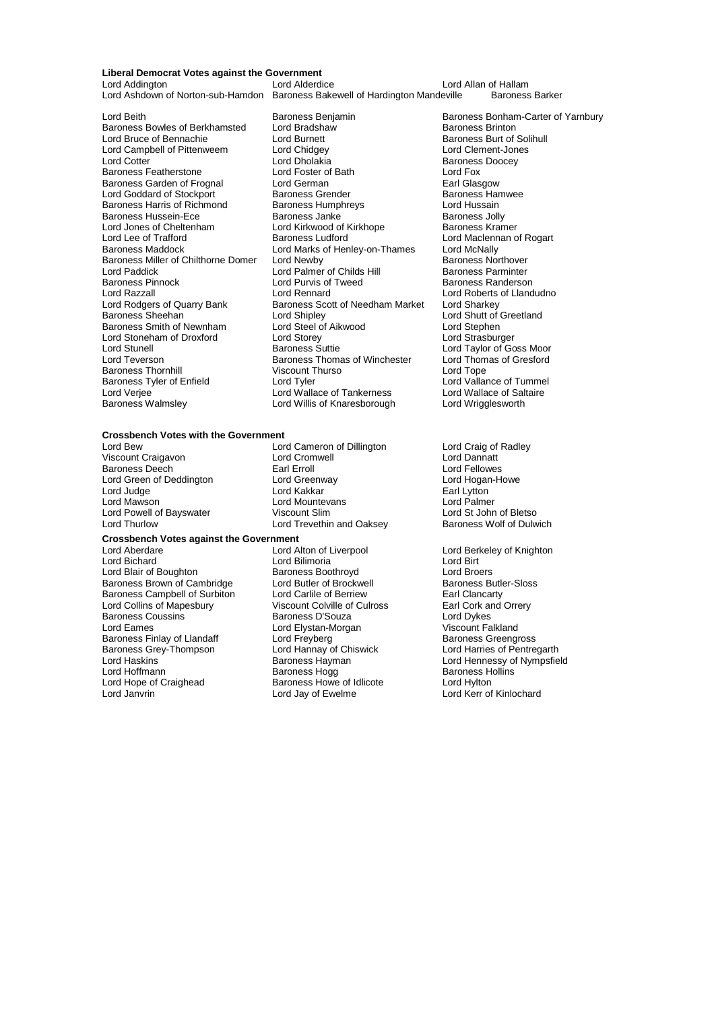### **Liberal Democrat Votes against the Government**

Lord Ashdown of Norton-sub-Hamdon Baroness Bakewell of Hardington Mandeville

Lord Campbell of Pittenweem Lord Chidgey<br>
Lord Cotter
Lord Chidgey Lord Jones of Cheltenham Lord Kirkwood of Kirkhope<br>
Lord Lee of Trafford Baroness Ludford Lord Paddick Lord Palmer of Childs Hill<br>
Baroness Pinnock Lord Purvis of Tweed Lord Rodgers of Quarry Bank Baroness Scott of Needham Market<br>Baroness Sheehan Baroness Sharker Lord Shipley Lord Stoneham of Droxford Lord Storey<br>
Lord Stunell Cord Stunell

Lord Beith **Baroness Benjamin**<br>
Baroness Bonham-Carter of Yarnbury<br>
Baroness Brinton<br>
Baroness Brinton Baroness Bowles of Berkhamsted Lord Bradshaw **Baroness Brinton**<br>
Lord Bruce of Bennachie Lord Burnett Baroness Burt of Solihull Lord Bruce of Bennachie **Lord Burnett** Baroness Burt of Solitional Lord Campbell of Pittenweem **Baroness Burt of Solition**<br>
Lord Campbell of Pittenweem Lord Chidgey **Constant Constanting Constant Constant Constant Constant** Lord Dholakia **Baroness Doocey**<br>
Lord Foster of Bath **Baroness Doocey** Baroness Featherstone Lord Foster of Bath Lord Fox Baroness Garden of Frognal Lord German Lord German Earl Glasgow<br>Lord Goddard of Stockport Baroness Grender Baroness Hamwee Lord Goddard of Stockport **Baroness Grender** Baroness Haroness Haroness Haroness Haroness Haroness Haroness Haroness Haroness Haroness Haroness Haroness Haroness Haroness Haroness Haroness Haroness Haroness Haroness Harone Baroness Harris of Richmond Baroness Humphreys **Exercise Serverse Exercise Additional**<br>Baroness Hussein-Ece **Baroness Janke** Baroness Jolly Baroness Hussein-Ece Baroness Janke Baroness Jolly<br>
Lord Jones of Cheltenham Lord Kirkwood of Kirkhope Baroness Kramer Lord Lee of Trafford **Exercise State Concess Ludford** Lord Maclennan of Rogart<br>Baroness Maddock **Baroness Lord Maclennan of Rogart** Lord McNally Lord Marks of Henley-on-Thames Lord McNally<br>Lord Newby **Baroness Northover** Baroness Miller of Chilthorne Domer<br>
Lord Palmer of Childs Hill Baroness Northover<br>
Lord Palmer of Childs Hill Baroness Parminter Baroness Pinnock **Example 2 Example 2 Lord Purvis of Tweed** Baroness Randerson<br>
Lord Razzall **Baroness** Lord Rennard **Baroness** Lord Roberts of Lland Lord Razzall Lord Rennard Lord Roberts of Llandudno Lord Shipley<br>
Lord Steel of Aikwood<br>
Lord Stephen<br>
Lord Stephen Baroness Smith of Newnham Lord Steel of Aikwood Lord Stephen Lord Stunell **Construction Baroness Suttle Construction Construction**<br>
Baroness Thomas of Winchester Lord Thomas of Gresford Baroness Thomas of Winchester Lord Thom<br>Viscount Thurso Lord Tope Baroness Thornhill **Matter Strutter Contains The Viscount Thurso** Corress Lord Tope<br>
Lord Vallance of Tummel<br>
Baroness Tyler of Enfield **Lord Tyler** Lord Tummel Corress Lord Vallance of Tummel Baroness Tyler of Enfield **Lord Tyler** Lord Tyler Lord Vallance of Tumme<br>Lord Veriee Lord Wallace of Tankerness Lord Wallace of Saltaire Lord Verjee Lord Wallace of Tankerness Lord Wallace of Saltaire Corp.<br>
Lord Willis of Knaresborough Lord Wrigglesworth<br>
Lord Wrigglesworth Lord Willis of Knaresborough

#### **Crossbench Votes with the Government**

Lord Bew Lord Cameron of Dillington Cord Craig of Radley<br>
Lord Craigavon Craigavon Lord Cromwell<br>
Lord Craigavon Lord Cromwell Viscount Craigavon Lord Cromwell Lord Dannatt Baroness Deech **Earl Erroll** Earl Erroll Earl Erroll Cord Fellowes<br>
Lord Green of Deddington Lord Greenway **Earl Example 2018** Lord Green of Deddington Lord Greenway Lord Greenway Lord Hogan<br>
Lord Judge Lord Kakkar Lord Kakkar Earl Lytton Lord Judge Lord Kakkar Earl Lytton Lord Mountevans<br>
Viscount Slim<br>
Viscount Slim Lord Powell of Bayswater **Viscount Slim** Lord St John of Bletso<br>
Lord Thurlow Lord Trevethin and Oaksev Baroness Wolf of Dulwich Lord Trevethin and Oaksey

Lord Blair of Boughton **Baroness Boothroyd** Cord Broers Lord Broers<br>Baroness Brown of Cambridge Boot Lord Butler of Brockwell Corporation Baroness Butler-Sloss Baroness Brown of Cambridge Lord Butler of Brockwell **Baroness Butler-**<br>Baroness Campbell of Surbiton Lord Carlile of Berriew **Earl Clancarty** Baroness Campbell of Surbiton Lord Carlile of Berriew Earl Clancarty<br>
Lord Collins of Mapesbury Viscount Colville of Culross Earl Cork and Orrery Baroness Coussins <sup>7</sup> The Baroness D'Souza **Constantino Lord Dykes**<br>
Lord Eames Coussins The Lord Elystan-Morgan Corporation Constantino Present Palkland Baroness Finlay of Llandaff Lord Freyberg<br>Baroness Grey-Thompson Lord Hannay of Chiswick Baroness Grey-Thompson Lord Hannay of Chiswick Lord Harries of Pentregarth<br>Lord Haskins Lord Hennessy of Nympsfie Lord Haskins **Example 2** Baroness Hayman **Lord Hennessy of Nympsfield**<br>
Lord Hoffmann **Lord Hoffmann** Baroness Hogg **COLOR** Baroness Hollins Lord Hope of Craighead Baroness Howe of Idlicote Lord Hylton<br>Lord Janvrin Lord Lord Lord Lord Kerr of

**Crossbench Votes against the Government** Lord Aberdare **Lord Alton of Liverpool** Lord Berkeley of Knighton<br>
Lord Bichard **Corporation** Lord Bilimoria **Lord Binghton** Lord Birt Lord Bilimoria **Lord Birt**<br>
Baroness Boothroyd **Lord Broers** Viscount Colville of Culross Earl Cork and Baroness D'Souza Lord Elystan-Morgan Viscount Falkland<br>
Lord Freyberg Controller Baroness Greengross Baroness Hogg Baroness Hollins

Lord Kerr of Kinlochard

Lord Allan of Hallam<br>eville Baroness Barker